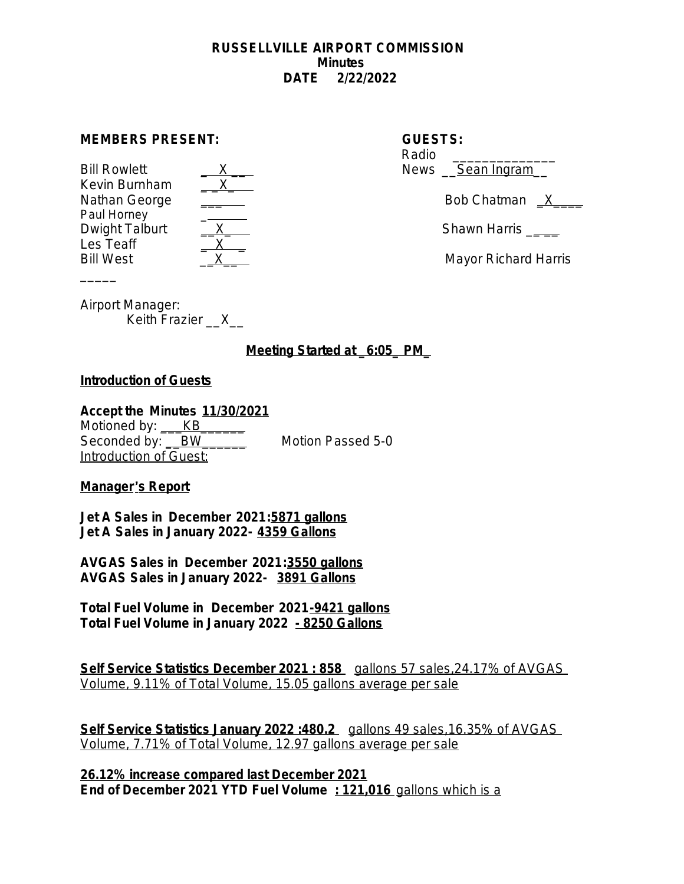#### **RUSSELLVILLE AIRPORT COMMISSION Minutes DATE 2/22/2022**

#### **MEMBERS PRESENT:**

Bill Rowlett Kevin Burnham<br>Nathan George Paul Horney Dwight Talburt  $\begin{array}{c} X \end{array}$  Shawn Harris  $\begin{array}{c} \end{array}$ Les Teaff Bill West \_\_X\_\_ Mayor Richard Harris

| $\sim$                                                                                                                                                                                                                        |
|-------------------------------------------------------------------------------------------------------------------------------------------------------------------------------------------------------------------------------|
|                                                                                                                                                                                                                               |
|                                                                                                                                                                                                                               |
|                                                                                                                                                                                                                               |
| and and the second second second in the second second second second second second second second second second second second second second second second second second second second second second second second second second |
|                                                                                                                                                                                                                               |
|                                                                                                                                                                                                                               |
|                                                                                                                                                                                                                               |

| <b>GUESTS:</b>          |
|-------------------------|
| Radio                   |
| News <u>Sean Ingram</u> |

Nathan George External Bob Chatman  $X$ 

Airport Manager:

 $\overline{\phantom{a}}$ 

Keith Frazier X

**Meeting Started at \_6:05\_ PM\_**

## **Introduction of Guests**

### **Accept the Minutes 11/30/2021**

Motioned by: <br>KB Seconded by: <u>\_\_BW\_\_\_\_\_\_</u> Motion Passed 5-0 Introduction of Guest:

**Manager**'**s Report**

**Jet A Sales in December 2021:5871 gallons Jet A Sales in January 2022- 4359 Gallons**

**AVGAS Sales in December 2021:3550 gallons AVGAS Sales in January 2022- 3891 Gallons**

**Total Fuel Volume in December 2021-9421 gallons Total Fuel Volume in January 2022 - 8250 Gallons**

**Self Service Statistics December 2021 : 858** gallons 57 sales, 24.17% of AVGAS Volume, 9.11% of Total Volume, 15.05 gallons average per sale

**Self Service Statistics January 2022 :480.2** gallons 49 sales,16.35% of AVGAS Volume, 7.71% of Total Volume, 12.97 gallons average per sale

**26.12% increase compared last December 2021 End of December 2021 YTD Fuel Volume : 121,016** gallons which is a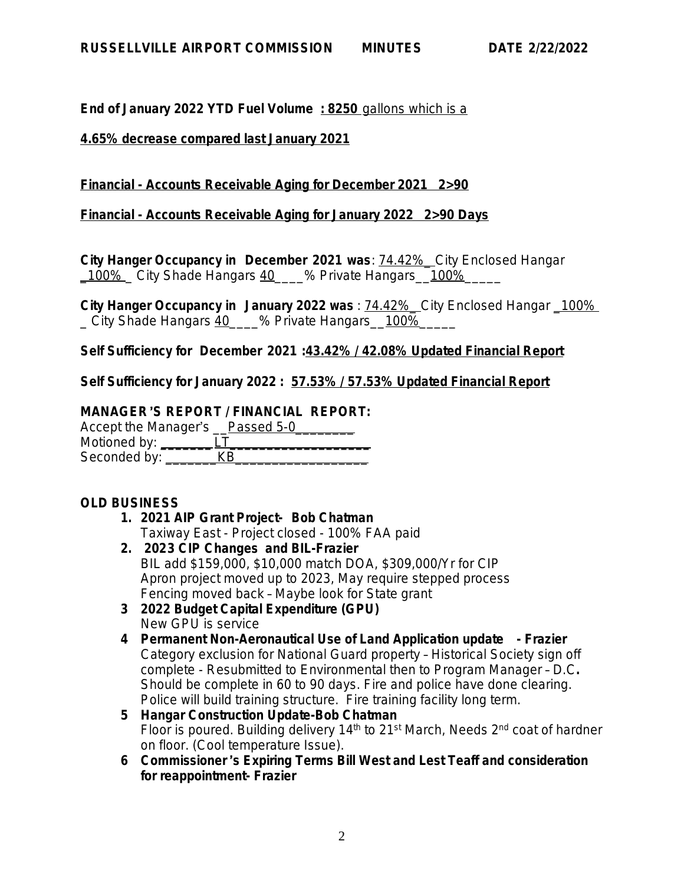**End of January 2022 YTD Fuel Volume : 8250** gallons which is a

### **4.65% decrease compared last January 2021**

## **Financial - Accounts Receivable Aging for December 2021 2>90**

**Financial - Accounts Receivable Aging for January 2022 2>90 Days**

**City Hanger Occupancy in December 2021 was**: 74.42%\_ City Enclosed Hangar 100% City Shade Hangars 40 % Private Hangars 100%

**City Hanger Occupancy in January 2022 was** : 74.42%\_ City Enclosed Hangar \_100% City Shade Hangars 40 % Private Hangars 100%

**Self Sufficiency for December 2021 :43.42% / 42.08% Updated Financial Report**

**Self Sufficiency for January 2022 : 57.53% / 57.53% Updated Financial Report**

## **MANAGER**'**S REPORT / FINANCIAL REPORT:**

Accept the Manager's Passed 5-0 Motioned by: \_\_\_\_\_\_\_<u>LT\_\_\_\_\_\_\_\_\_\_\_\_\_\_\_\_\_\_</u> Seconded by: \_\_\_\_\_\_\_KB\_\_\_\_\_\_\_\_\_\_\_\_\_\_\_\_\_\_

# **OLD BUSINESS**

- **1. 2021 AIP Grant Project- Bob Chatman** Taxiway East - Project closed - 100% FAA paid
- **2. 2023 CIP Changes and BIL-Frazier** BIL add \$159,000, \$10,000 match DOA, \$309,000/Yr for CIP Apron project moved up to 2023, May require stepped process Fencing moved back – Maybe look for State grant
- **3 2022 Budget Capital Expenditure (GPU)** New GPU is service
- **4 Permanent Non-Aeronautical Use of Land Application update Frazier** Category exclusion for National Guard property – Historical Society sign off complete - Resubmitted to Environmental then to Program Manager – D.C**.** Should be complete in 60 to 90 days. Fire and police have done clearing. Police will build training structure. Fire training facility long term.
- **5 Hangar Construction Update-Bob Chatman** Floor is poured. Building delivery 14<sup>th</sup> to 21<sup>st</sup> March, Needs 2<sup>nd</sup> coat of hardner on floor. (Cool temperature Issue).
- **6 Commissioner** '**s Expiring Terms Bill West and Lest Teaff and consideration for reappointment- Frazier**